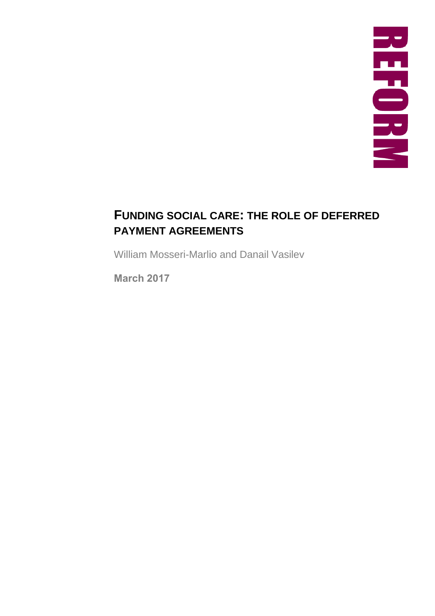# **FUNDING SOCIAL CARE: THE ROLE OF DEFERRED PAYMENT AGREEMENTS**

William Mosseri-Marlio and Danail Vasilev

March 2017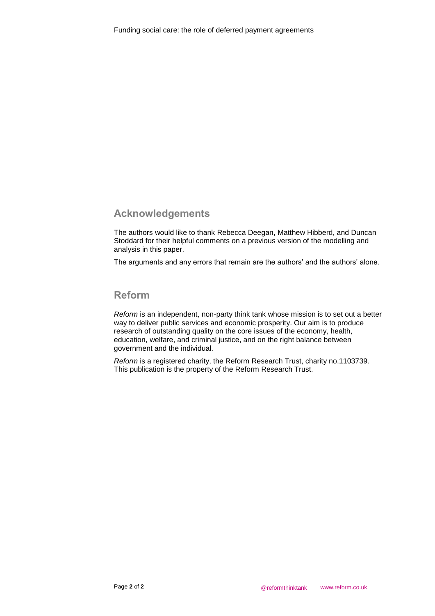## Acknowledgements

The authors would like to thank Rebecca Deegan, Matthew Hibberd, and Duncan Stoddard for their helpful comments on a previous version of the modelling and analysis in this paper.

The arguments and any errors that remain are the authors' and the authors' alone.

### Reform

*Reform* is an independent, non-party think tank whose mission is to set out a better way to deliver public services and economic prosperity. Our aim is to produce research of outstanding quality on the core issues of the economy, health, education, welfare, and criminal justice, and on the right balance between government and the individual.

*Reform* is a registered charity, the Reform Research Trust, charity no.1103739. This publication is the property of the Reform Research Trust.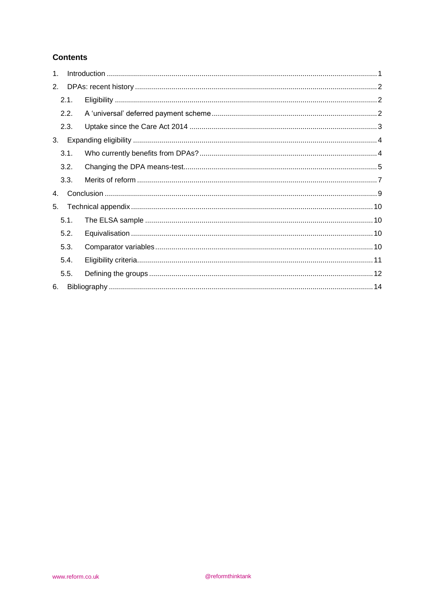### **Contents**

| 1 <sub>1</sub> |      |  |  |  |  |  |  |  |
|----------------|------|--|--|--|--|--|--|--|
| 2.             |      |  |  |  |  |  |  |  |
|                | 2.1. |  |  |  |  |  |  |  |
|                | 2.2. |  |  |  |  |  |  |  |
|                | 2.3. |  |  |  |  |  |  |  |
| 3.             |      |  |  |  |  |  |  |  |
|                | 3.1. |  |  |  |  |  |  |  |
|                | 3.2. |  |  |  |  |  |  |  |
|                | 3.3. |  |  |  |  |  |  |  |
| 4.             |      |  |  |  |  |  |  |  |
| 5.             |      |  |  |  |  |  |  |  |
|                | 5.1. |  |  |  |  |  |  |  |
|                | 5.2. |  |  |  |  |  |  |  |
|                | 5.3. |  |  |  |  |  |  |  |
|                | 5.4. |  |  |  |  |  |  |  |
|                | 5.5. |  |  |  |  |  |  |  |
| 6.             |      |  |  |  |  |  |  |  |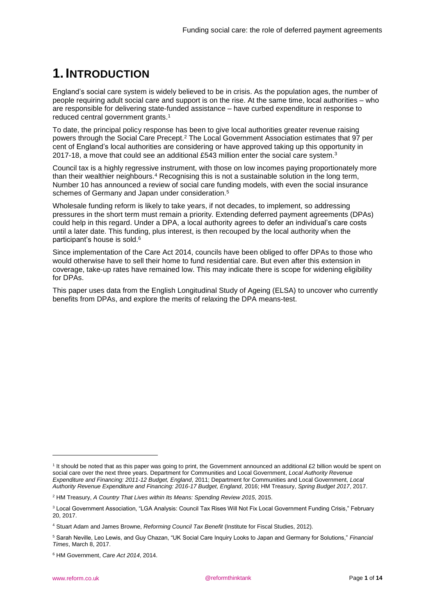# <span id="page-4-0"></span>**1. INTRODUCTION**

England's social care system is widely believed to be in crisis. As the population ages, the number of people requiring adult social care and support is on the rise. At the same time, local authorities – who are responsible for delivering state-funded assistance – have curbed expenditure in response to reduced central government grants.<sup>1</sup>

To date, the principal policy response has been to give local authorities greater revenue raising powers through the Social Care Precept. <sup>2</sup> The Local Government Association estimates that 97 per cent of England's local authorities are considering or have approved taking up this opportunity in 2017-18, a move that could see an additional £543 million enter the social care system.<sup>3</sup>

Council tax is a highly regressive instrument, with those on low incomes paying proportionately more than their wealthier neighbours.<sup>4</sup> Recognising this is not a sustainable solution in the long term, Number 10 has announced a review of social care funding models, with even the social insurance schemes of Germany and Japan under consideration.<sup>5</sup>

Wholesale funding reform is likely to take years, if not decades, to implement, so addressing pressures in the short term must remain a priority. Extending deferred payment agreements (DPAs) could help in this regard. Under a DPA, a local authority agrees to defer an individual's care costs until a later date. This funding, plus interest, is then recouped by the local authority when the participant's house is sold.<sup>6</sup>

Since implementation of the Care Act 2014, councils have been obliged to offer DPAs to those who would otherwise have to sell their home to fund residential care. But even after this extension in coverage, take-up rates have remained low. This may indicate there is scope for widening eligibility for DPAs.

This paper uses data from the English Longitudinal Study of Ageing (ELSA) to uncover who currently benefits from DPAs, and explore the merits of relaxing the DPA means-test.

1

<sup>&</sup>lt;sup>1</sup> It should be noted that as this paper was going to print, the Government announced an additional £2 billion would be spent on social care over the next three years. Department for Communities and Local Government, *Local Authority Revenue Expenditure and Financing: 2011-12 Budget, England*, 2011; Department for Communities and Local Government, *Local Authority Revenue Expenditure and Financing: 2016-17 Budget, England*, 2016; HM Treasury, *Spring Budget 2017*, 2017.

<sup>2</sup> HM Treasury, *A Country That Lives within Its Means: Spending Review 2015*, 2015.

<sup>&</sup>lt;sup>3</sup> Local Government Association, "LGA Analysis: Council Tax Rises Will Not Fix Local Government Funding Crisis," February 20, 2017.

<sup>4</sup> Stuart Adam and James Browne, *Reforming Council Tax Benefit* (Institute for Fiscal Studies, 2012).

<sup>5</sup> Sarah Neville, Leo Lewis, and Guy Chazan, "UK Social Care Inquiry Looks to Japan and Germany for Solutions," *Financial Times*, March 8, 2017.

<sup>6</sup> HM Government, *Care Act 2014*, 2014.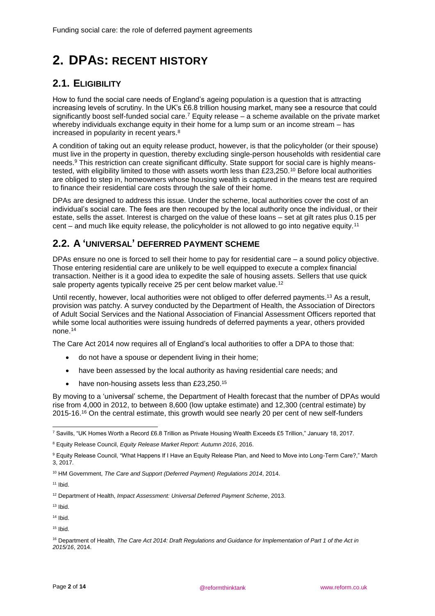# <span id="page-5-0"></span>**2. DPAS: RECENT HISTORY**

## <span id="page-5-1"></span>**2.1. ELIGIBILITY**

How to fund the social care needs of England's ageing population is a question that is attracting increasing levels of scrutiny. In the UK's £6.8 trillion housing market, many see a resource that could significantly boost self-funded social care.<sup>7</sup> Equity release – a scheme available on the private market whereby individuals exchange equity in their home for a lump sum or an income stream – has increased in popularity in recent years.<sup>8</sup>

A condition of taking out an equity release product, however, is that the policyholder (or their spouse) must live in the property in question, thereby excluding single-person households with residential care needs.<sup>9</sup> This restriction can create significant difficulty. State support for social care is highly meanstested, with eligibility limited to those with assets worth less than £23,250.<sup>10</sup> Before local authorities are obliged to step in, homeowners whose housing wealth is captured in the means test are required to finance their residential care costs through the sale of their home.

DPAs are designed to address this issue. Under the scheme, local authorities cover the cost of an individual's social care. The fees are then recouped by the local authority once the individual, or their estate, sells the asset. Interest is charged on the value of these loans – set at gilt rates plus 0.15 per cent – and much like equity release, the policyholder is not allowed to go into negative equity.<sup>11</sup>

## <span id="page-5-2"></span>**2.2. A 'UNIVERSAL' DEFERRED PAYMENT SCHEME**

DPAs ensure no one is forced to sell their home to pay for residential care – a sound policy objective. Those entering residential care are unlikely to be well equipped to execute a complex financial transaction. Neither is it a good idea to expedite the sale of housing assets. Sellers that use quick sale property agents typically receive 25 per cent below market value.<sup>12</sup>

Until recently, however, local authorities were not obliged to offer deferred payments.<sup>13</sup> As a result, provision was patchy. A survey conducted by the Department of Health, the Association of Directors of Adult Social Services and the National Association of Financial Assessment Officers reported that while some local authorities were issuing hundreds of deferred payments a year, others provided none.<sup>14</sup>

The Care Act 2014 now requires all of England's local authorities to offer a DPA to those that:

- do not have a spouse or dependent living in their home;
- have been assessed by the local authority as having residential care needs; and
- have non-housing assets less than £23,250.<sup>15</sup>

By moving to a 'universal' scheme, the Department of Health forecast that the number of DPAs would rise from 4,000 in 2012, to between 8,600 (low uptake estimate) and 12,300 (central estimate) by 2015-16.<sup>16</sup> On the central estimate, this growth would see nearly 20 per cent of new self-funders

 $13$  Ibid.

 $14$  Ibid.

 $15$  Ibid.

<sup>-</sup><sup>7</sup> Savills, "UK Homes Worth a Record £6.8 Trillion as Private Housing Wealth Exceeds £5 Trillion," January 18, 2017.

<sup>8</sup> Equity Release Council, *Equity Release Market Report: Autumn 2016*, 2016.

<sup>9</sup> Equity Release Council, "What Happens If I Have an Equity Release Plan, and Need to Move into Long-Term Care?," March 3, 2017.

<sup>10</sup> HM Government, *The Care and Support (Deferred Payment) Regulations 2014*, 2014.

 $11$  Ibid.

<sup>12</sup> Department of Health, *Impact Assessment: Universal Deferred Payment Scheme*, 2013.

<sup>16</sup> Department of Health, *The Care Act 2014: Draft Regulations and Guidance for Implementation of Part 1 of the Act in 2015/16*, 2014.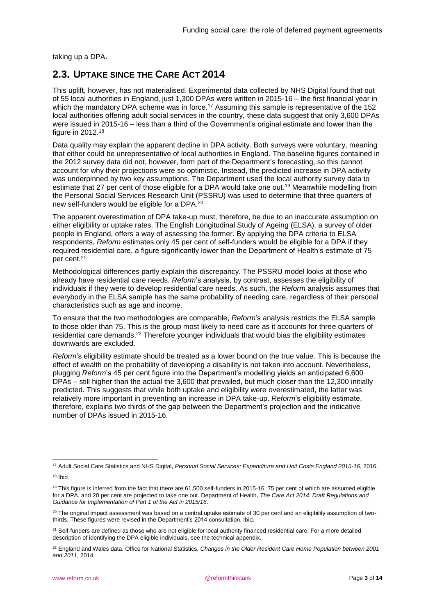taking up a DPA.

## <span id="page-6-0"></span>**2.3. UPTAKE SINCE THE CARE ACT 2014**

This uplift, however, has not materialised. Experimental data collected by NHS Digital found that out of 55 local authorities in England, just 1,300 DPAs were written in 2015-16 – the first financial year in which the mandatory DPA scheme was in force.<sup>17</sup> Assuming this sample is representative of the 152 local authorities offering adult social services in the country, these data suggest that only 3,600 DPAs were issued in 2015-16 – less than a third of the Government's original estimate and lower than the figure in 2012.<sup>18</sup>

Data quality may explain the apparent decline in DPA activity. Both surveys were voluntary, meaning that either could be unrepresentative of local authorities in England. The baseline figures contained in the 2012 survey data did not, however, form part of the Department's forecasting, so this cannot account for why their projections were so optimistic. Instead, the predicted increase in DPA activity was underpinned by two key assumptions. The Department used the local authority survey data to estimate that 27 per cent of those eligible for a DPA would take one out.<sup>19</sup> Meanwhile modelling from the Personal Social Services Research Unit (PSSRU) was used to determine that three quarters of new self-funders would be eligible for a DPA. 20

The apparent overestimation of DPA take-up must, therefore, be due to an inaccurate assumption on either eligibility or uptake rates. The English Longitudinal Study of Ageing (ELSA), a survey of older people in England, offers a way of assessing the former. By applying the DPA criteria to ELSA respondents, *Reform* estimates only 45 per cent of self-funders would be eligible for a DPA if they required residential care, a figure significantly lower than the Department of Health's estimate of 75 per cent. 21

Methodological differences partly explain this discrepancy. The PSSRU model looks at those who already have residential care needs. *Reform*'s analysis, by contrast, assesses the eligibility of individuals if they were to develop residential care needs. As such, the *Reform* analysis assumes that everybody in the ELSA sample has the same probability of needing care, regardless of their personal characteristics such as age and income.

To ensure that the two methodologies are comparable, *Reform*'s analysis restricts the ELSA sample to those older than 75. This is the group most likely to need care as it accounts for three quarters of residential care demands.<sup>22</sup> Therefore younger individuals that would bias the eligibility estimates downwards are excluded.

*Reform*'s eligibility estimate should be treated as a lower bound on the true value. This is because the effect of wealth on the probability of developing a disability is not taken into account. Nevertheless, plugging *Reform*'s 45 per cent figure into the Department's modelling yields an anticipated 6,600 DPAs – still higher than the actual the 3,600 that prevailed, but much closer than the 12,300 initially predicted. This suggests that while both uptake and eligibility were overestimated, the latter was relatively more important in preventing an increase in DPA take-up. *Reform*'s eligibility estimate, therefore, explains two thirds of the gap between the Department's projection and the indicative number of DPAs issued in 2015-16.

<sup>1</sup> <sup>17</sup> Adult Social Care Statistics and NHS Digital, *Personal Social Services: Expenditure and Unit Costs England 2015-16*, 2016.

 $18$  Ibid.

 $19$  This figure is inferred from the fact that there are 61.500 self-funders in 2015-16, 75 per cent of which are assumed eligible for a DPA, and 20 per cent are projected to take one out. Department of Health, *The Care Act 2014: Draft Regulations and Guidance for Implementation of Part 1 of the Act in 2015/16*.

<sup>&</sup>lt;sup>20</sup> The original impact assessment was based on a central uptake estimate of 30 per cent and an eligibility assumption of twothirds. These figures were revised in the Department's 2014 consultation. Ibid.

<sup>&</sup>lt;sup>21</sup> Self-funders are defined as those who are not eligible for local authority financed residential care. For a more detailed description of identifying the DPA eligible individuals, see the technical appendix.

<sup>22</sup> England and Wales data. Office for National Statistics, *Changes in the Older Resident Care Home Population between 2001 and 2011*, 2014.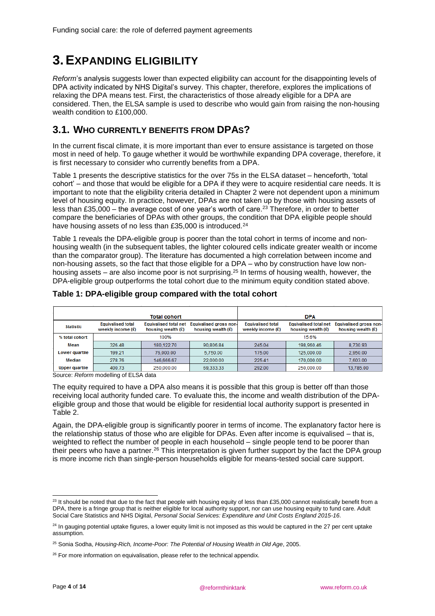# <span id="page-7-0"></span>**3.EXPANDING ELIGIBILITY**

*Reform*'s analysis suggests lower than expected eligibility can account for the disappointing levels of DPA activity indicated by NHS Digital's survey. This chapter, therefore, explores the implications of relaxing the DPA means test. First, the characteristics of those already eligible for a DPA are considered. Then, the ELSA sample is used to describe who would gain from raising the non-housing wealth condition to £100,000.

## <span id="page-7-1"></span>**3.1. WHO CURRENTLY BENEFITS FROM DPAS?**

In the current fiscal climate, it is more important than ever to ensure assistance is targeted on those most in need of help. To gauge whether it would be worthwhile expanding DPA coverage, therefore, it is first necessary to consider who currently benefits from a DPA.

[Table 1](#page-7-2) presents the descriptive statistics for the over 75s in the ELSA dataset – henceforth, 'total cohort' – and those that would be eligible for a DPA if they were to acquire residential care needs. It is important to note that the eligibility criteria detailed in Chapter 2 were not dependent upon a minimum level of housing equity. In practice, however, DPAs are not taken up by those with housing assets of less than £35,000 – the average cost of one year's worth of care.<sup>23</sup> Therefore, in order to better compare the beneficiaries of DPAs with other groups, the condition that DPA eligible people should have housing assets of no less than £35,000 is introduced.<sup>24</sup>

[Table 1](#page-7-2) reveals the DPA-eligible group is poorer than the total cohort in terms of income and nonhousing wealth (in the subsequent tables, the lighter coloured cells indicate greater wealth or income than the comparator group). The literature has documented a high correlation between income and non-housing assets, so the fact that those eligible for a DPA – who by construction have low nonhousing assets – are also income poor is not surprising.<sup>25</sup> In terms of housing wealth, however, the DPA-eligible group outperforms the total cohort due to the minimum equity condition stated above.

| Total cohort          |                                                 |                                                      | <b>DPA</b>                                            |                                                 |                                                      |                                                       |  |
|-----------------------|-------------------------------------------------|------------------------------------------------------|-------------------------------------------------------|-------------------------------------------------|------------------------------------------------------|-------------------------------------------------------|--|
| <b>Statistic</b>      | <b>Equivalised total</b><br>weekly income $(E)$ | <b>Equivalised total net</b><br>housing wealth $(E)$ | <b>Equivalised gross non-</b><br>housing wealth $(E)$ | <b>Equivalised total</b><br>weekly income $(E)$ | <b>Equivalised total net</b><br>housing wealth $(E)$ | <b>Equivalised gross non-</b><br>housing wealth $(E)$ |  |
| % total cohort        | 100%                                            |                                                      |                                                       | 15.6%                                           |                                                      |                                                       |  |
| Mean                  | 326.48                                          | 180.122.70                                           | 90.806.84                                             | 245.04                                          | 198.960.46                                           | 8.730.93                                              |  |
| Lower quartile        | 199.21                                          | 76.000.00                                            | 5,750.00                                              | 175.00                                          | 125.000.00                                           | 2,950.00                                              |  |
| Median                | 278.76                                          | 146.666.67                                           | 22,000.00                                             | 225.41                                          | 170.000.00                                           | 7,603.00                                              |  |
| <b>Upper quartile</b> | 400.73                                          | 250,000.00                                           | 69.333.33                                             | 292.00                                          | 250,000.00                                           | 13.785.00                                             |  |

### <span id="page-7-2"></span>**Table 1: DPA-eligible group compared with the total cohort**

Source: *Reform* modelling of ELSA data

The equity required to have a DPA also means it is possible that this group is better off than those receiving local authority funded care. To evaluate this, the income and wealth distribution of the DPAeligible group and those that would be eligible for residential local authority support is presented in [Table 2.](#page-8-1)

Again, the DPA-eligible group is significantly poorer in terms of income. The explanatory factor here is the relationship status of those who are eligible for DPAs. Even after income is equivalised – that is, weighted to reflect the number of people in each household – single people tend to be poorer than their peers who have a partner.<sup>26</sup> This interpretation is given further support by the fact the DPA group is more income rich than single-person households eligible for means-tested social care support.

<sup>1</sup>  $^{23}$  It should be noted that due to the fact that people with housing equity of less than £35,000 cannot realistically benefit from a DPA, there is a fringe group that is neither eligible for local authority support, nor can use housing equity to fund care. Adult Social Care Statistics and NHS Digital, *Personal Social Services: Expenditure and Unit Costs England 2015-16*.

<sup>&</sup>lt;sup>24</sup> In gauging potential uptake figures, a lower equity limit is not imposed as this would be captured in the 27 per cent uptake assumption.

<sup>25</sup> Sonia Sodha, *Housing-Rich, Income-Poor: The Potential of Housing Wealth in Old Age*, 2005.

<sup>&</sup>lt;sup>26</sup> For more information on equivalisation, please refer to the technical appendix.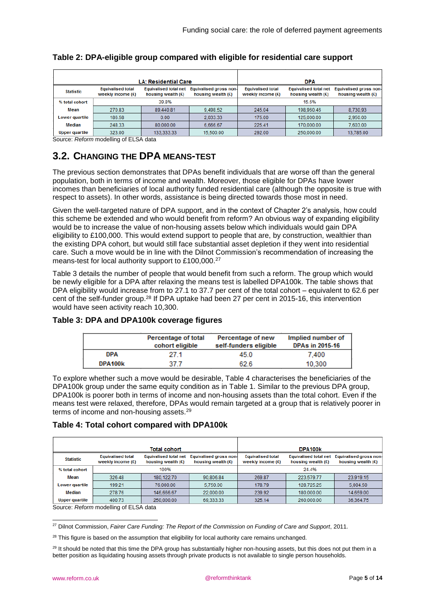| LA: Residential Care             |                                                 |                                                      |                                                | <b>DPA</b>                                      |                                                      |                                                       |
|----------------------------------|-------------------------------------------------|------------------------------------------------------|------------------------------------------------|-------------------------------------------------|------------------------------------------------------|-------------------------------------------------------|
| <b>Statistic</b>                 | <b>Equivalised total</b><br>weekly income $(E)$ | <b>Equivalised total net</b><br>housing wealth $(E)$ | Equivalised gross non-<br>housing wealth $(E)$ | <b>Equivalised total</b><br>weekly income $(E)$ | <b>Equivalised total net</b><br>housing wealth $(E)$ | <b>Equivalised gross non-</b><br>housing wealth $(E)$ |
| % total cohort                   | 39.8%                                           |                                                      |                                                | 15.6%                                           |                                                      |                                                       |
| Mean                             | 270.83<br>89.440.81<br>9,498.52                 |                                                      | 245.04                                         | 198.960.46                                      | 8,730.93                                             |                                                       |
| 0.00<br>186.58<br>Lower quartile |                                                 |                                                      | 2.033.33                                       | 175.00                                          | 125,000.00                                           | 2.950.00                                              |
| Median                           | 248.33                                          | 80,000.00                                            | 6.666.67                                       | 225.41                                          | 170.000.00                                           | 7,603.00                                              |
| <b>Upper quartile</b>            | 323.00                                          | 133.333.33                                           | 15,500.00                                      | 292.00                                          | 250,000.00                                           | 13,785.00                                             |

<span id="page-8-1"></span>

| Table 2: DPA-eligible group compared with eligible for residential care support |  |  |  |  |  |
|---------------------------------------------------------------------------------|--|--|--|--|--|
|---------------------------------------------------------------------------------|--|--|--|--|--|

<span id="page-8-0"></span>Source: *Reform* modelling of ELSA data

## **3.2. CHANGING THE DPA MEANS-TEST**

The previous section demonstrates that DPAs benefit individuals that are worse off than the general population, both in terms of income and wealth. Moreover, those eligible for DPAs have lower incomes than beneficiaries of local authority funded residential care (although the opposite is true with respect to assets). In other words, assistance is being directed towards those most in need.

Given the well-targeted nature of DPA support, and in the context of Chapter 2's analysis, how could this scheme be extended and who would benefit from reform? An obvious way of expanding eligibility would be to increase the value of non-housing assets below which individuals would gain DPA eligibility to £100,000. This would extend support to people that are, by construction, wealthier than the existing DPA cohort, but would still face substantial asset depletion if they went into residential care. Such a move would be in line with the Dilnot Commission's recommendation of increasing the means-test for local authority support to £100,000.<sup>27</sup>

[Table 3](#page-8-2) details the number of people that would benefit from such a reform. The group which would be newly eligible for a DPA after relaxing the means test is labelled DPA100k. The table shows that DPA eligibility would increase from to 27.1 to 37.7 per cent of the total cohort – equivalent to 62.6 per cent of the self-funder group.<sup>28</sup> If DPA uptake had been 27 per cent in 2015-16, this intervention would have seen activity reach 10,300.

### <span id="page-8-2"></span>**Table 3: DPA and DPA100k coverage figures**

|            | Percentage of total<br>cohort eligible | Percentage of new<br>self-funders eligible | Implied number of<br><b>DPAs in 2015-16</b> |
|------------|----------------------------------------|--------------------------------------------|---------------------------------------------|
| <b>DPA</b> | 27 1                                   | 45.0                                       | 7.400                                       |
| DPA100k    | 37 7                                   | 62.6                                       | 10.300                                      |

To explore whether such a move would be desirable, [Table 4](#page-8-3) characterises the beneficiaries of the DPA100k group under the same equity condition as in [Table 1.](#page-7-2) Similar to the previous DPA group, DPA100k is poorer both in terms of income and non-housing assets than the total cohort. Even if the means test were relaxed, therefore, DPAs would remain targeted at a group that is relatively poorer in terms of income and non-housing assets.<sup>29</sup>

### <span id="page-8-3"></span>**Table 4: Total cohort compared with DPA100k**

|                       |                                                 | Total cohort                                         |                                                       |                                                 | DPA100k                                              |                                                       |
|-----------------------|-------------------------------------------------|------------------------------------------------------|-------------------------------------------------------|-------------------------------------------------|------------------------------------------------------|-------------------------------------------------------|
| <b>Statistic</b>      | <b>Equivalised total</b><br>weekly income $(E)$ | <b>Equivalised total net</b><br>housing wealth $(E)$ | <b>Equivalised gross non-</b><br>housing wealth $(E)$ | <b>Equivalised total</b><br>weekly income $(E)$ | <b>Equivalised total net</b><br>housing wealth $(E)$ | <b>Equivalised gross non-</b><br>housing wealth $(E)$ |
| % total cohort        | 100%                                            |                                                      |                                                       | 24.4%                                           |                                                      |                                                       |
| Mean                  | 326.48                                          | 180.122.70                                           | 90.806.84                                             | 269.87                                          | 223.579.77                                           | 23.919.15                                             |
| Lower quartile        | 199.21                                          | 76,000.00                                            | 5.750.00                                              | 178.79                                          | 128.725.25                                           | 5.004.50                                              |
| Median                | 278.76                                          | 146.666.67                                           | 22.000.00                                             | 239.92                                          | 180,000,00                                           | 14.659.00                                             |
| <b>Upper quartile</b> | 400.73                                          | 250,000.00                                           | 69.333.33                                             | 325.14                                          | 260,000.00                                           | 36.364.75                                             |
| $\sim$ $\sim$         | .<br>$\cdot$ $ \cdot$ $\cdot$ $\cdot$ $\cdot$   |                                                      |                                                       |                                                 |                                                      |                                                       |

Source: *Reform* modelling of ELSA data

-<sup>27</sup> Dilnot Commission, *Fairer Care Funding: The Report of the Commission on Funding of Care and Support*, 2011.

<sup>28</sup> This figure is based on the assumption that eligibility for local authority care remains unchanged.

<sup>29</sup> It should be noted that this time the DPA group has substantially higher non-housing assets, but this does not put them in a better position as liquidating housing assets through private products is not available to single person households.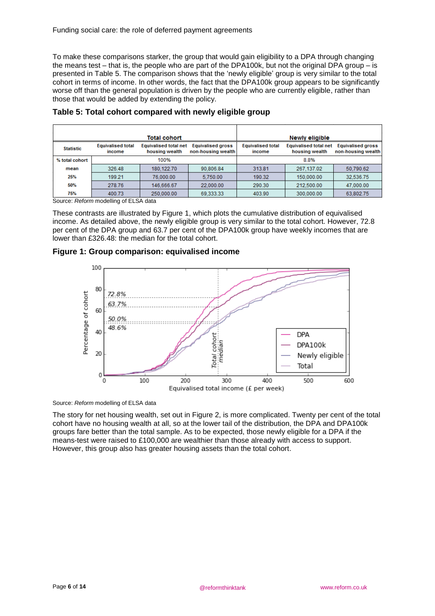To make these comparisons starker, the group that would gain eligibility to a DPA through changing the means test – that is, the people who are part of the DPA100k, but not the original  $DPA$  group – is presented in [Table 5.](#page-9-0) The comparison shows that the 'newly eligible' group is very similar to the total cohort in terms of income. In other words, the fact that the DPA100k group appears to be significantly worse off than the general population is driven by the people who are currently eligible, rather than those that would be added by extending the policy.

| Total cohort           |                                                                                                |                                                |                                                | <b>Newly eligible</b>              |                                                |                                                |
|------------------------|------------------------------------------------------------------------------------------------|------------------------------------------------|------------------------------------------------|------------------------------------|------------------------------------------------|------------------------------------------------|
| <b>Statistic</b>       | <b>Equivalised total</b><br>income                                                             | <b>Equivalised total net</b><br>housing wealth | <b>Equivalised gross</b><br>non-housing wealth | <b>Equivalised total</b><br>income | <b>Equivalised total net</b><br>housing wealth | <b>Equivalised gross</b><br>non-housing wealth |
| 100%<br>% total cohort |                                                                                                |                                                | 8.8%                                           |                                    |                                                |                                                |
| mean                   | 326.48                                                                                         | 180.122.70                                     | 90.806.84                                      | 313.81                             | 267.137.02                                     | 50.790.62                                      |
| 25%                    | 199.21                                                                                         | 76,000.00                                      | 5.750.00                                       | 190.32                             | 150,000.00                                     | 32,536.75                                      |
| 50%                    | 278.76                                                                                         | 146.666.67                                     | 22.000.00                                      | 290.30                             | 212,500.00                                     | 47,000.00                                      |
| 75%                    | 400.73                                                                                         | 250,000.00                                     | 69.333.33                                      | 403.90                             | 300.000.00                                     | 63,802.75                                      |
|                        | $O_{\text{c} \rightarrow \text{m} \times \text{c}}$ . Defease see delling of $\Box$ CA, detail |                                                |                                                |                                    |                                                |                                                |

### <span id="page-9-0"></span>**Table 5: Total cohort compared with newly eligible group**

Source: *Reform* modelling of ELSA data

These contrasts are illustrated by [Figure 1,](#page-9-1) which plots the cumulative distribution of equivalised income. As detailed above, the newly eligible group is very similar to the total cohort. However, 72.8 per cent of the DPA group and 63.7 per cent of the DPA100k group have weekly incomes that are lower than £326.48: the median for the total cohort.

<span id="page-9-1"></span>



Source: *Reform* modelling of ELSA data

The story for net housing wealth, set out in [Figure 2,](#page-10-1) is more complicated. Twenty per cent of the total cohort have no housing wealth at all, so at the lower tail of the distribution, the DPA and DPA100k groups fare better than the total sample. As to be expected, those newly eligible for a DPA if the means-test were raised to £100,000 are wealthier than those already with access to support. However, this group also has greater housing assets than the total cohort.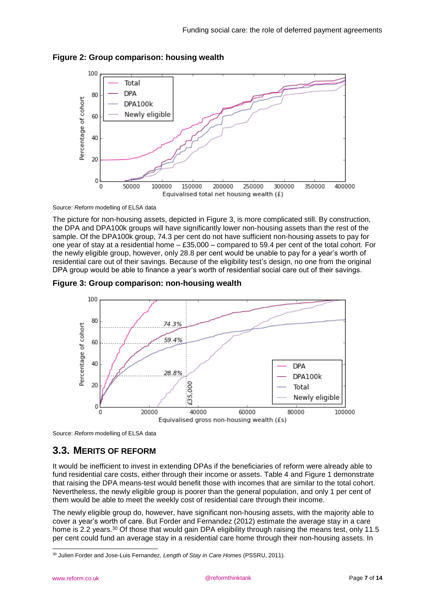

### <span id="page-10-1"></span>**Figure 2: Group comparison: housing wealth**

Source: *Reform* modelling of ELSA data

The picture for non-housing assets, depicted in [Figure 3,](#page-10-2) is more complicated still. By construction, the DPA and DPA100k groups will have significantly lower non-housing assets than the rest of the sample. Of the DPA100k group, 74.3 per cent do not have sufficient non-housing assets to pay for one year of stay at a residential home – £35,000 – compared to 59.4 per cent of the total cohort. For the newly eligible group, however, only 28.8 per cent would be unable to pay for a year's worth of residential care out of their savings. Because of the eligibility test's design, no one from the original DPA group would be able to finance a year's worth of residential social care out of their savings.

<span id="page-10-2"></span>



<span id="page-10-0"></span>Source: *Reform* modelling of ELSA data

## **3.3. MERITS OF REFORM**

It would be inefficient to invest in extending DPAs if the beneficiaries of reform were already able to fund residential care costs, either through their income or assets. [Table 4](#page-8-3) and [Figure 1](#page-9-1) demonstrate that raising the DPA means-test would benefit those with incomes that are similar to the total cohort. Nevertheless, the newly eligible group is poorer than the general population, and only 1 per cent of them would be able to meet the weekly cost of residential care through their income.

The newly eligible group do, however, have significant non-housing assets, with the majority able to cover a year's worth of care. But Forder and Fernandez (2012) estimate the average stay in a care home is 2.2 years.<sup>30</sup> Of those that would gain DPA eligibility through raising the means test, only 11.5 per cent could fund an average stay in a residential care home through their non-housing assets. In

<sup>1</sup> <sup>30</sup> Julien Forder and Jose-Luis Fernandez, *Length of Stay in Care Homes* (PSSRU, 2011).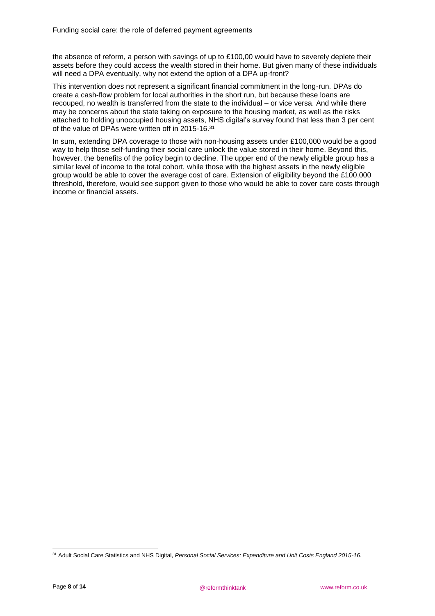the absence of reform, a person with savings of up to £100,00 would have to severely deplete their assets before they could access the wealth stored in their home. But given many of these individuals will need a DPA eventually, why not extend the option of a DPA up-front?

This intervention does not represent a significant financial commitment in the long-run. DPAs do create a cash-flow problem for local authorities in the short run, but because these loans are recouped, no wealth is transferred from the state to the individual – or vice versa. And while there may be concerns about the state taking on exposure to the housing market, as well as the risks attached to holding unoccupied housing assets, NHS digital's survey found that less than 3 per cent of the value of DPAs were written off in 2015-16.31

In sum, extending DPA coverage to those with non-housing assets under £100,000 would be a good way to help those self-funding their social care unlock the value stored in their home. Beyond this, however, the benefits of the policy begin to decline. The upper end of the newly eligible group has a similar level of income to the total cohort, while those with the highest assets in the newly eligible group would be able to cover the average cost of care. Extension of eligibility beyond the £100,000 threshold, therefore, would see support given to those who would be able to cover care costs through income or financial assets.

<sup>1</sup> <sup>31</sup> Adult Social Care Statistics and NHS Digital, *Personal Social Services: Expenditure and Unit Costs England 2015-16*.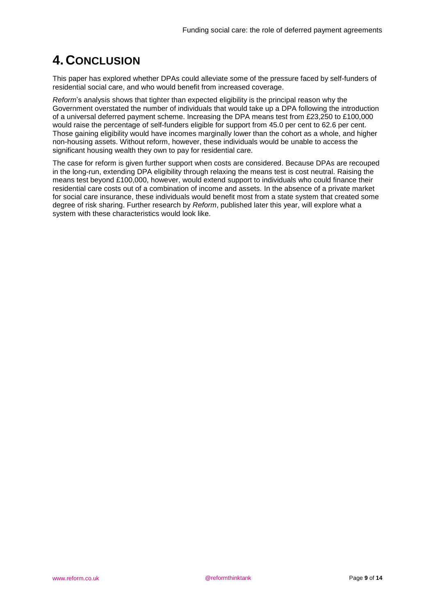# <span id="page-12-0"></span>**4. CONCLUSION**

This paper has explored whether DPAs could alleviate some of the pressure faced by self-funders of residential social care, and who would benefit from increased coverage.

*Reform*'s analysis shows that tighter than expected eligibility is the principal reason why the Government overstated the number of individuals that would take up a DPA following the introduction of a universal deferred payment scheme. Increasing the DPA means test from £23,250 to £100,000 would raise the percentage of self-funders eligible for support from 45.0 per cent to 62.6 per cent. Those gaining eligibility would have incomes marginally lower than the cohort as a whole, and higher non-housing assets. Without reform, however, these individuals would be unable to access the significant housing wealth they own to pay for residential care.

The case for reform is given further support when costs are considered. Because DPAs are recouped in the long-run, extending DPA eligibility through relaxing the means test is cost neutral. Raising the means test beyond £100,000, however, would extend support to individuals who could finance their residential care costs out of a combination of income and assets. In the absence of a private market for social care insurance, these individuals would benefit most from a state system that created some degree of risk sharing. Further research by *Reform*, published later this year, will explore what a system with these characteristics would look like.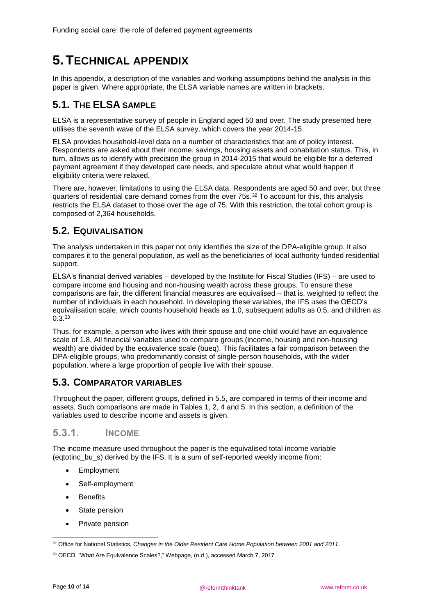# <span id="page-13-0"></span>**5.TECHNICAL APPENDIX**

In this appendix, a description of the variables and working assumptions behind the analysis in this paper is given. Where appropriate, the ELSA variable names are written in brackets.

## <span id="page-13-1"></span>**5.1. THE ELSA SAMPLE**

ELSA is a representative survey of people in England aged 50 and over. The study presented here utilises the seventh wave of the ELSA survey, which covers the year 2014-15.

ELSA provides household-level data on a number of characteristics that are of policy interest. Respondents are asked about their income, savings, housing assets and cohabitation status. This, in turn, allows us to identify with precision the group in 2014-2015 that would be eligible for a deferred payment agreement if they developed care needs, and speculate about what would happen if eligibility criteria were relaxed.

There are, however, limitations to using the ELSA data. Respondents are aged 50 and over, but three quarters of residential care demand comes from the over 75s.<sup>32</sup> To account for this, this analysis restricts the ELSA dataset to those over the age of 75. With this restriction, the total cohort group is composed of 2,364 households.

## <span id="page-13-2"></span>**5.2. EQUIVALISATION**

The analysis undertaken in this paper not only identifies the size of the DPA-eligible group. It also compares it to the general population, as well as the beneficiaries of local authority funded residential support.

ELSA's financial derived variables – developed by the Institute for Fiscal Studies (IFS) – are used to compare income and housing and non-housing wealth across these groups. To ensure these comparisons are fair, the different financial measures are equivalised – that is, weighted to reflect the number of individuals in each household. In developing these variables, the IFS uses the OECD's equivalisation scale, which counts household heads as 1.0, subsequent adults as 0.5, and children as 0.3<sup>33</sup>

Thus, for example, a person who lives with their spouse and one child would have an equivalence scale of 1.8. All financial variables used to compare groups (income, housing and non-housing wealth) are divided by the equivalence scale (bueq). This facilitates a fair comparison between the DPA-eligible groups, who predominantly consist of single-person households, with the wider population, where a large proportion of people live with their spouse.

## <span id="page-13-3"></span>**5.3. COMPARATOR VARIABLES**

Throughout the paper, different groups, defined in [5.5,](#page-15-0) are compared in terms of their income and assets. Such comparisons are made in Tables 1, 2, 4 and 5. In this section, a definition of the variables used to describe income and assets is given.

### 5.3.1. INCOME

The income measure used throughout the paper is the equivalised total income variable (eqtotinc\_bu\_s) derived by the IFS. It is a sum of self-reported weekly income from:

- **Employment**
- Self-employment
- Benefits
- State pension
- Private pension

<sup>1</sup> <sup>32</sup> Office for National Statistics, *Changes in the Older Resident Care Home Population between 2001 and 2011*.

<sup>33</sup> OECD, "What Are Equivalence Scales?," Webpage, (n.d.), accessed March 7, 2017.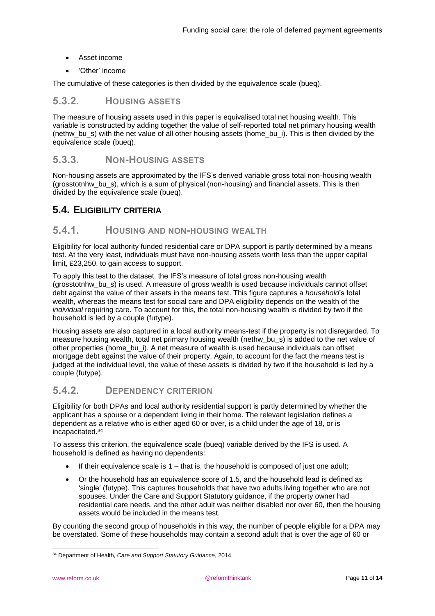- Asset income
- 'Other' income

The cumulative of these categories is then divided by the equivalence scale (bueq).

### 5.3.2. HOUSING ASSETS

The measure of housing assets used in this paper is equivalised total net housing wealth. This variable is constructed by adding together the value of self-reported total net primary housing wealth (nethw\_bu\_s) with the net value of all other housing assets (home\_bu\_i). This is then divided by the equivalence scale (bueq).

### 5.3.3. NON-HOUSING ASSETS

Non-housing assets are approximated by the IFS's derived variable gross total non-housing wealth (grosstotnhw\_bu\_s), which is a sum of physical (non-housing) and financial assets. This is then divided by the equivalence scale (bueq).

### <span id="page-14-0"></span>**5.4. ELIGIBILITY CRITERIA**

### <span id="page-14-1"></span>5.4.1. HOUSING AND NON-HOUSING WEALTH

Eligibility for local authority funded residential care or DPA support is partly determined by a means test. At the very least, individuals must have non-housing assets worth less than the upper capital limit, £23,250, to gain access to support.

To apply this test to the dataset, the IFS's measure of total gross non-housing wealth (grosstotnhw\_bu\_s) is used. A measure of gross wealth is used because individuals cannot offset debt against the value of their assets in the means test. This figure captures a *household*'s total wealth, whereas the means test for social care and DPA eligibility depends on the wealth of the *individual* requiring care. To account for this, the total non-housing wealth is divided by two if the household is led by a couple (futype).

Housing assets are also captured in a local authority means-test if the property is not disregarded. To measure housing wealth, total net primary housing wealth (nethw\_bu\_s) is added to the net value of other properties (home\_bu\_i). A net measure of wealth is used because individuals can offset mortgage debt against the value of their property. Again, to account for the fact the means test is judged at the individual level, the value of these assets is divided by two if the household is led by a couple (futype).

### <span id="page-14-2"></span>5.4.2. DEPENDENCY CRITERION

Eligibility for both DPAs and local authority residential support is partly determined by whether the applicant has a spouse or a dependent living in their home. The relevant legislation defines a dependent as a relative who is either aged 60 or over, is a child under the age of 18, or is incapacitated.<sup>34</sup>

To assess this criterion, the equivalence scale (bueq) variable derived by the IFS is used. A household is defined as having no dependents:

- If their equivalence scale is  $1 -$  that is, the household is composed of just one adult;
- Or the household has an equivalence score of 1.5, and the household lead is defined as 'single' (futype). This captures households that have two adults living together who are not spouses. Under the Care and Support Statutory guidance, if the property owner had residential care needs, and the other adult was neither disabled nor over 60, then the housing assets would be included in the means test.

By counting the second group of households in this way, the number of people eligible for a DPA may be overstated. Some of these households may contain a second adult that is over the age of 60 or

<sup>1</sup> <sup>34</sup> Department of Health, *Care and Support Statutory Guidance*, 2014.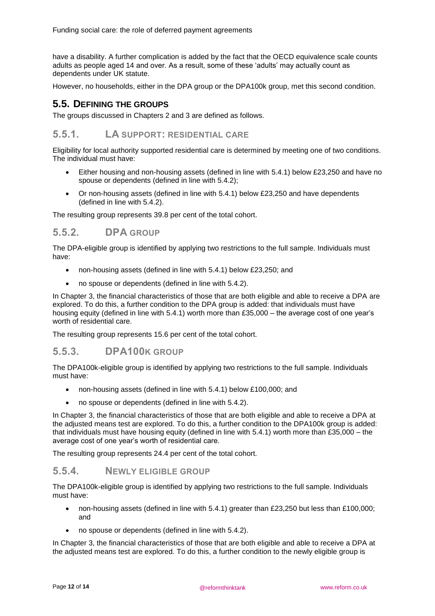have a disability. A further complication is added by the fact that the OECD equivalence scale counts adults as people aged 14 and over. As a result, some of these 'adults' may actually count as dependents under UK statute.

However, no households, either in the DPA group or the DPA100k group, met this second condition.

### <span id="page-15-0"></span>**5.5. DEFINING THE GROUPS**

The groups discussed in Chapters 2 and 3 are defined as follows.

### 5.5.1. LA SUPPORT: RESIDENTIAL CARE

Eligibility for local authority supported residential care is determined by meeting one of two conditions. The individual must have:

- Either housing and non-housing assets (defined in line with [5.4.1\)](#page-14-1) below £23,250 and have no spouse or dependents (defined in line with [5.4.2\)](#page-14-2);
- Or non-housing assets (defined in line with [5.4.1\)](#page-14-1) below £23,250 and have dependents (defined in line with [5.4.2\)](#page-14-2).

The resulting group represents 39.8 per cent of the total cohort.

### 5.5.2. DPA GROUP

The DPA-eligible group is identified by applying two restrictions to the full sample. Individuals must have:

- non-housing assets (defined in line with [5.4.1\)](#page-14-1) below £23,250; and
- no spouse or dependents (defined in line with [5.4.2\)](#page-14-2).

In Chapter 3, the financial characteristics of those that are both eligible and able to receive a DPA are explored. To do this, a further condition to the DPA group is added: that individuals must have housing equity (defined in line with [5.4.1\)](#page-14-1) worth more than £35,000 – the average cost of one year's worth of residential care.

The resulting group represents 15.6 per cent of the total cohort.

### 5.5.3. DPA100K GROUP

The DPA100k-eligible group is identified by applying two restrictions to the full sample. Individuals must have:

- non-housing assets (defined in line with [5.4.1\)](#page-14-1) below £100,000; and
- no spouse or dependents (defined in line with [5.4.2\)](#page-14-2).

In Chapter 3, the financial characteristics of those that are both eligible and able to receive a DPA at the adjusted means test are explored. To do this, a further condition to the DPA100k group is added: that individuals must have housing equity (defined in line with [5.4.1\)](#page-14-1) worth more than £35,000 – the average cost of one year's worth of residential care.

The resulting group represents 24.4 per cent of the total cohort.

### 5.5.4. NEWLY ELIGIBLE GROUP

The DPA100k-eligible group is identified by applying two restrictions to the full sample. Individuals must have:

- non-housing assets (defined in line with [5.4.1\)](#page-14-1) greater than £23,250 but less than £100,000; and
- no spouse or dependents (defined in line with [5.4.2\)](#page-14-2).

In Chapter 3, the financial characteristics of those that are both eligible and able to receive a DPA at the adjusted means test are explored. To do this, a further condition to the newly eligible group is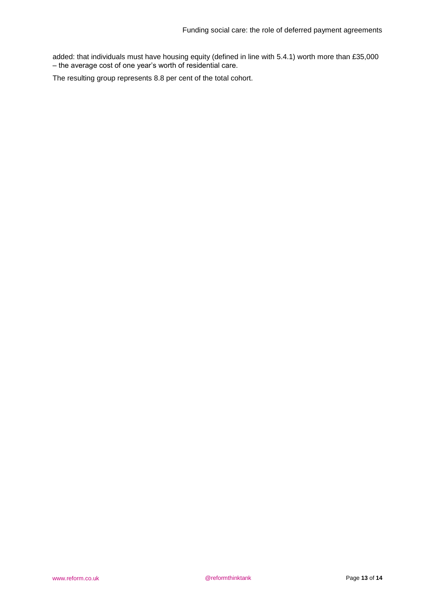added: that individuals must have housing equity (defined in line with [5.4.1\)](#page-14-1) worth more than £35,000 – the average cost of one year's worth of residential care.

The resulting group represents 8.8 per cent of the total cohort.